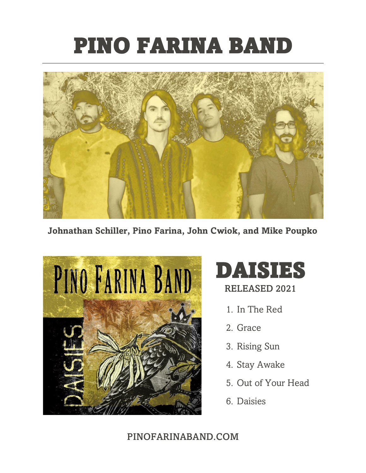## PINO FARINA BAND



**Johnathan Schiller, Pino Farina, John Cwiok, and Mike Poupko**



# DAISIES

RELEASED 2021

- 1. In The Red
- 2. Grace
- 3. Rising Sun
- 4. Stay Awake
- 5. Out of Your Head
- 6. Daisies

## PINOFARINABAND.COM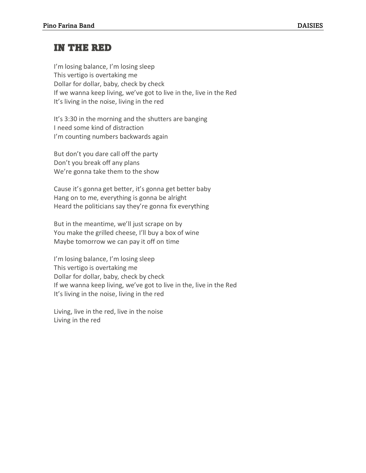## IN THE RED

I'm losing balance, I'm losing sleep This vertigo is overtaking me Dollar for dollar, baby, check by check If we wanna keep living, we've got to live in the, live in the Red It's living in the noise, living in the red

It's 3:30 in the morning and the shutters are banging I need some kind of distraction I'm counting numbers backwards again

But don't you dare call off the party Don't you break off any plans We're gonna take them to the show

Cause it's gonna get better, it's gonna get better baby Hang on to me, everything is gonna be alright Heard the politicians say they're gonna fix everything

But in the meantime, we'll just scrape on by You make the grilled cheese, I'll buy a box of wine Maybe tomorrow we can pay it off on time

I'm losing balance, I'm losing sleep This vertigo is overtaking me Dollar for dollar, baby, check by check If we wanna keep living, we've got to live in the, live in the Red It's living in the noise, living in the red

Living, live in the red, live in the noise Living in the red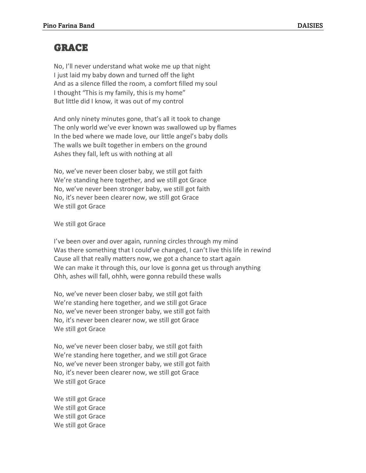### GRACE

No, I'll never understand what woke me up that night I just laid my baby down and turned off the light And as a silence filled the room, a comfort filled my soul I thought "This is my family, this is my home" But little did I know, it was out of my control

And only ninety minutes gone, that's all it took to change The only world we've ever known was swallowed up by flames In the bed where we made love, our little angel's baby dolls The walls we built together in embers on the ground Ashes they fall, left us with nothing at all

No, we've never been closer baby, we still got faith We're standing here together, and we still got Grace No, we've never been stronger baby, we still got faith No, it's never been clearer now, we still got Grace We still got Grace

#### We still got Grace

I've been over and over again, running circles through my mind Was there something that I could've changed, I can't live this life in rewind Cause all that really matters now, we got a chance to start again We can make it through this, our love is gonna get us through anything Ohh, ashes will fall, ohhh, were gonna rebuild these walls

No, we've never been closer baby, we still got faith We're standing here together, and we still got Grace No, we've never been stronger baby, we still got faith No, it's never been clearer now, we still got Grace We still got Grace

No, we've never been closer baby, we still got faith We're standing here together, and we still got Grace No, we've never been stronger baby, we still got faith No, it's never been clearer now, we still got Grace We still got Grace

We still got Grace We still got Grace We still got Grace We still got Grace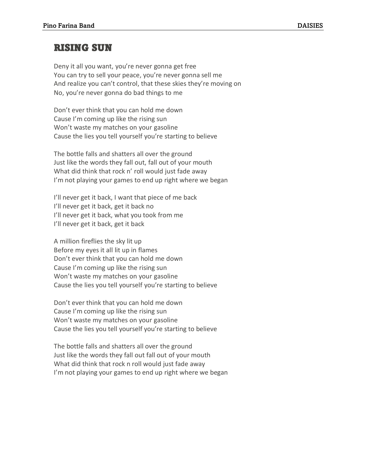### RISING SUN

Deny it all you want, you're never gonna get free You can try to sell your peace, you're never gonna sell me And realize you can't control, that these skies they're moving on No, you're never gonna do bad things to me

Don't ever think that you can hold me down Cause I'm coming up like the rising sun Won't waste my matches on your gasoline Cause the lies you tell yourself you're starting to believe

The bottle falls and shatters all over the ground Just like the words they fall out, fall out of your mouth What did think that rock n' roll would just fade away I'm not playing your games to end up right where we began

I'll never get it back, I want that piece of me back I'll never get it back, get it back no I'll never get it back, what you took from me I'll never get it back, get it back

A million fireflies the sky lit up Before my eyes it all lit up in flames Don't ever think that you can hold me down Cause I'm coming up like the rising sun Won't waste my matches on your gasoline Cause the lies you tell yourself you're starting to believe

Don't ever think that you can hold me down Cause I'm coming up like the rising sun Won't waste my matches on your gasoline Cause the lies you tell yourself you're starting to believe

The bottle falls and shatters all over the ground Just like the words they fall out fall out of your mouth What did think that rock n roll would just fade away I'm not playing your games to end up right where we began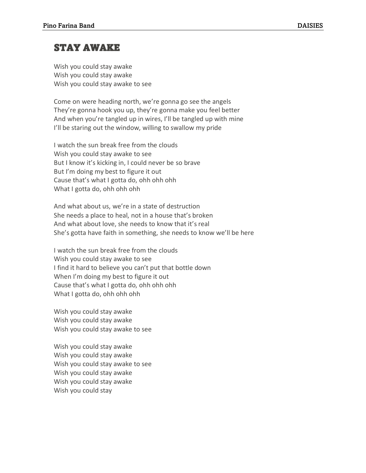## STAY AWAKE

Wish you could stay awake Wish you could stay awake Wish you could stay awake to see

Come on were heading north, we're gonna go see the angels They're gonna hook you up, they're gonna make you feel better And when you're tangled up in wires, I'll be tangled up with mine I'll be staring out the window, willing to swallow my pride

I watch the sun break free from the clouds Wish you could stay awake to see But I know it's kicking in, I could never be so brave But I'm doing my best to figure it out Cause that's what I gotta do, ohh ohh ohh What I gotta do, ohh ohh ohh

And what about us, we're in a state of destruction She needs a place to heal, not in a house that's broken And what about love, she needs to know that it's real She's gotta have faith in something, she needs to know we'll be here

I watch the sun break free from the clouds Wish you could stay awake to see I find it hard to believe you can't put that bottle down When I'm doing my best to figure it out Cause that's what I gotta do, ohh ohh ohh What I gotta do, ohh ohh ohh

Wish you could stay awake Wish you could stay awake Wish you could stay awake to see

Wish you could stay awake Wish you could stay awake Wish you could stay awake to see Wish you could stay awake Wish you could stay awake Wish you could stay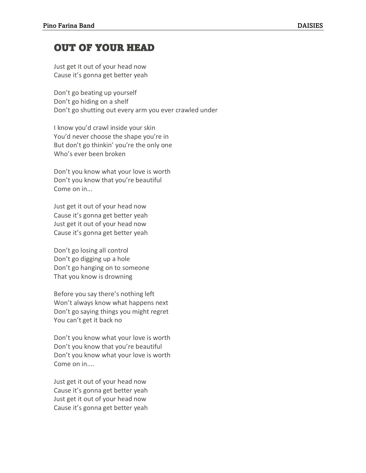## OUT OF YOUR HEAD

Just get it out of your head now Cause it's gonna get better yeah

Don't go beating up yourself Don't go hiding on a shelf Don't go shutting out every arm you ever crawled under

I know you'd crawl inside your skin You'd never choose the shape you're in But don't go thinkin' you're the only one Who's ever been broken

Don't you know what your love is worth Don't you know that you're beautiful Come on in...

Just get it out of your head now Cause it's gonna get better yeah Just get it out of your head now Cause it's gonna get better yeah

Don't go losing all control Don't go digging up a hole Don't go hanging on to someone That you know is drowning

Before you say there's nothing left Won't always know what happens next Don't go saying things you might regret You can't get it back no

Don't you know what your love is worth Don't you know that you're beautiful Don't you know what your love is worth Come on in....

Just get it out of your head now Cause it's gonna get better yeah Just get it out of your head now Cause it's gonna get better yeah